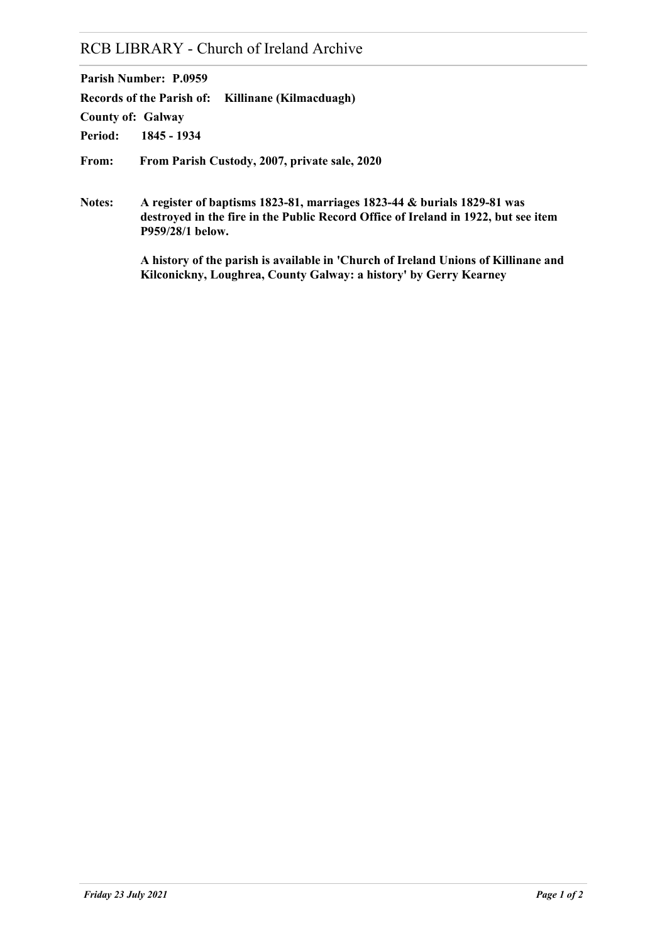# RCB LIBRARY - Church of Ireland Archive

**Parish Number: P.0959**

**Records of the Parish of: Killinane (Kilmacduagh)**

**County of: Galway**

**Period: 1845 - 1934**

**From: From Parish Custody, 2007, private sale, 2020**

**Notes: A register of baptisms 1823-81, marriages 1823-44 & burials 1829-81 was destroyed in the fire in the Public Record Office of Ireland in 1922, but see item P959/28/1 below.**

> **A history of the parish is available in 'Church of Ireland Unions of Killinane and Kilconickny, Loughrea, County Galway: a history' by Gerry Kearney**